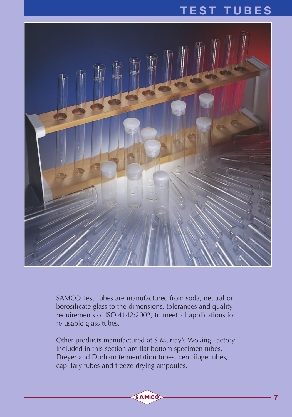### **TEST TUBES**



SAMCO Test Tubes are manufactured from soda, neutral or borosilicate glass to the dimensions, tolerances and quality requirements of ISO 4142:2002, to meet all applications for re-usable glass tubes.

Other products manufactured at S Murray's Woking Factory included in this section are flat bottom specimen tubes, Dreyer and Durham fermentation tubes, centrifuge tubes, capillary tubes and freeze-drying ampoules.

SAMCO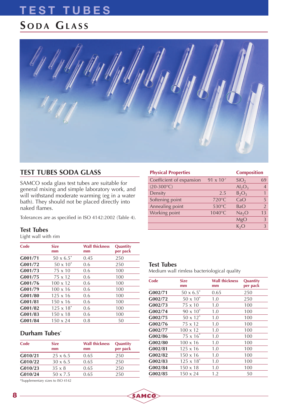### **TEST TUBES S ODA GLASS**

### **TEST TUBES SODA GLASS**

SAMCO soda glass test tubes are suitable for general mixing and simple laboratory work, and will withstand moderate warming (eg in a water bath). They should not be placed directly into naked flames.

Tolerances are as specified in ISO 4142:2002 (Table 4).

#### **Test Tubes**

Light wall with rim

| Code    | <b>Size</b><br>mm   | <b>Wall thickness</b><br>mm | Quantity<br>per pack |
|---------|---------------------|-----------------------------|----------------------|
| G001/71 | $50 \times 6.5^*$   | 0.45                        | 250                  |
| G001/72 | $50 \times 10^{*}$  | 0.6                         | 250                  |
| G001/73 | $75 \times 10$      | 0.6                         | 100                  |
| G001/75 | $75 \times 12$      | 0.6                         | 100                  |
| G001/76 | $100 \times 12$     | 0.6                         | 100                  |
| G001/79 | $100 \times 16$     | 0.6                         | 100                  |
| G001/80 | $125 \times 16$     | 0.6                         | 100                  |
| G001/81 | $150 \times 16$     | 0.6                         | 100                  |
| G001/82 | $125 \times 18^{*}$ | 0.6                         | 100                  |
| G001/83 | $150 \times 18$     | 0.6                         | 100                  |
| G001/84 | $150 \times 24$     | 0.8                         | 50                   |

#### **Durham Tubes**\*

| Code    | <b>Size</b><br>mm | <b>Wall thickness</b><br>mm | <b>Quantity</b><br>per pack |
|---------|-------------------|-----------------------------|-----------------------------|
| G010/21 | $25 \times 6.5$   | 0.65                        | 250                         |
| G010/22 | $30 \times 6.5$   | 0.65                        | 250                         |
| G010/23 | $35 \times 8$     | 0.65                        | 250                         |
| G010/24 | $50 \times 7.5$   | 0.65                        | 250                         |
|         |                   |                             |                             |

\*Supplementary sizes to ISO 4142

| <b>Physical Properties</b> |                     | <b>Composition</b> |                |
|----------------------------|---------------------|--------------------|----------------|
| Coefficient of expansion   | $91 \times 10^{-7}$ | SiO <sub>2</sub>   | 69             |
| $(20-300^{\circ}C)$        |                     | $Al_2O_3$          | $\overline{4}$ |
| Density                    | 2.5                 | $B_2O_3$           | 1              |
| Softening point            | 720°C               | CaO                | 5              |
| Annealing point            | 530°C               | BaO                | $\overline{2}$ |
| Working point              | 1040°C              | Na <sub>2</sub> O  | 13             |
|                            |                     | MgO                | 3              |
|                            |                     | $K_2O$             | 3              |

#### **Test Tubes**

SAMCC

Medium wall rimless bacteriological quality

| Code    | <b>Size</b><br>mm   | <b>Wall thickness</b><br>mm | Quantity<br>per pack |
|---------|---------------------|-----------------------------|----------------------|
| G002/71 | $50 \times 6.5^*$   | 0.65                        | 250                  |
| G002/72 | $50 \times 10^{*}$  | 1.0                         | 250                  |
| G002/73 | 75 x 10             | 1.0                         | 100                  |
| G002/74 | $90 \times 10^{*}$  | 1.0                         | 100                  |
| G002/75 | $50 \times 12^{*}$  | 1.0                         | 100                  |
| G002/76 | 75 x 12             | 1.0                         | 100                  |
| G002/77 | $100 \times 12$     | 1.0                         | 100                  |
| G002/86 | $75 \times 16^{*}$  | 1.0                         | 100                  |
| G002/80 | $100 \times 16$     | 1.0                         | 100                  |
| G002/81 | $125 \times 16$     | 1.0                         | 100                  |
| G002/82 | $150 \times 16$     | 1.0                         | 100                  |
| G002/83 | $125 \times 18^{*}$ | 1.0                         | 100                  |
| G002/84 | $150 \times 18$     | 1.0                         | 100                  |
| G002/85 | $150 \times 24$     | 1.2                         | 50                   |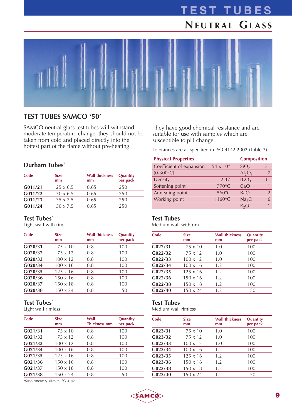# **TEST TUBES NEUTRAL GLASS**



### **TEST TUBES SAMCO '50'**

SAMCO neutral glass test tubes will withstand moderate temperature change, they should not be taken from cold and placed directly into the hottest part of the flame without pre-heating.

#### **Durham Tubes**\*

| Code    | <b>Size</b><br>mm | <b>Wall thickness</b><br>mm | Quantity<br>per pack |
|---------|-------------------|-----------------------------|----------------------|
| G011/21 | $25 \times 6.5$   | 0.65                        | 250                  |
| G011/22 | $30 \times 6.5$   | 0.65                        | 250                  |
| G011/23 | $35 \times 7.5$   | 0.65                        | 250                  |
| G011/24 | 50 x 7.5          | 0.65                        | 250                  |

#### **Test Tubes**\*

Light wall with rim

| Code    | <b>Size</b><br>mm | <b>Wall thickness</b><br>mm | Quantity<br>per pack |
|---------|-------------------|-----------------------------|----------------------|
| G020/31 | $75 \times 10$    | 0.8                         | 100                  |
| G020/32 | $75 \times 12$    | 0.8                         | 100                  |
| G020/33 | $100 \times 12$   | 0.8                         | 100                  |
| G020/34 | $100 \times 16$   | 0.8                         | 100                  |
| G020/35 | $125 \times 16$   | 0.8                         | 100                  |
| G020/36 | $150 \times 16$   | 0.8                         | 100                  |
| G020/37 | $150 \times 18$   | 0.8                         | 100                  |
| G020/38 | $150 \times 24$   | 0.8                         | 50                   |
|         |                   |                             |                      |

#### **Test Tubes**\*

Light wall rimless

| Code    | <b>Size</b><br>mm | Wall<br><b>Thickness mm</b> | Quantity<br>per pack |
|---------|-------------------|-----------------------------|----------------------|
| G021/31 | $75 \times 10$    | 0.8                         | 100                  |
| G021/32 | $75 \times 12$    | 0.8                         | 100                  |
| G021/33 | $100 \times 12$   | 0.8                         | 100                  |
| G021/34 | $100 \times 16$   | 0.8                         | 100                  |
| G021/35 | $125 \times 16$   | 0.8                         | 100                  |
| G021/36 | $150 \times 16$   | 0.8                         | 100                  |
| G021/37 | $150 \times 18$   | 0.8                         | 100                  |
| G021/38 | $150 \times 24$   | 0.8                         | 50                   |

\*Supplementary sizes to ISO 4142

They have good chemical resistance and are suitable for use with samples which are susceptible to pH change.

Tolerances are as specified in ISO 4142:2002 (Table 3).

| <b>Physical Properties</b> |                     | <b>Composition</b> |                |
|----------------------------|---------------------|--------------------|----------------|
| Coefficient of expansion   | $54 \times 10^{-7}$ | SiO <sub>2</sub>   | 71             |
| $(0-300^{\circ}C)$         |                     | $Al_2O_3$          | $\overline{7}$ |
| Density                    | 2.37                | $B_2O_3$           | 11             |
| Softening point            | 770°C               | CaO                |                |
| Annealing point            | $560^{\circ}$ C     | BaO                | $\mathfrak{D}$ |
| Working point              | 1160°C              | Na <sub>2</sub> O  |                |
|                            |                     | $K_2O$             |                |

#### **Test Tubes**

Medium wall with rim

| Code    | <b>Size</b><br>mm | <b>Wall thickness</b><br>mm | Quantity<br>per pack |
|---------|-------------------|-----------------------------|----------------------|
| G022/31 | $75 \times 10$    | 1.0                         | 100                  |
| G022/32 | 75 x 12           | 1.0                         | 100                  |
| G022/33 | $100 \times 12$   | 1.0                         | 100                  |
| G022/34 | $100 \times 16$   | 1.2                         | 100                  |
| G022/35 | $125 \times 16$   | 1.2                         | 100                  |
| G022/36 | $150 \times 16$   | 1.2                         | 100                  |
| G022/38 | $150 \times 18$   | 1.2                         | 100                  |
| G022/40 | $150 \times 24$   | 1.2                         | 50                   |

#### **Test Tubes**

SAMCO

Medium wall rimless

| <b>Size</b><br>mm | <b>Wall thickness</b><br>mm | Quantity<br>per pack |
|-------------------|-----------------------------|----------------------|
| $75 \times 10$    | 1.0                         | 100                  |
| 75 x 12           | 1.0                         | 100                  |
| $100 \times 12$   | 1.0                         | 100                  |
| $100 \times 16$   | 1.2                         | 100                  |
| $125 \times 16$   | 1.2                         | 100                  |
| $150 \times 16$   | 1.2                         | 100                  |
| $150 \times 18$   | 1.2                         | 100                  |
| $150 \times 24$   | 1.2                         | 50                   |
|                   |                             |                      |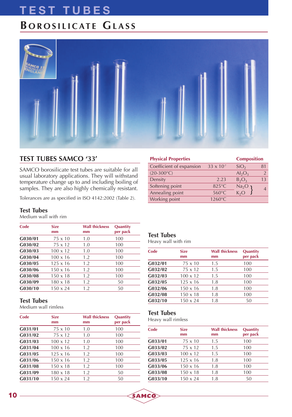# **TEST TUBES**

### **B OROSILICATE GLASS**



### **TEST TUBES SAMCO '33'**

SAMCO borosilicate test tubes are suitable for all usual laboratory applications. They will withstand temperature change up to and including boiling of samples. They are also highly chemically resistant.

Tolerances are as specified in ISO 4142:2002 (Table 2).

#### **Test Tubes**

Medium wall with rim

| Code    | <b>Size</b><br>mm | <b>Wall thickness</b><br>mm | Quantity<br>per pack |
|---------|-------------------|-----------------------------|----------------------|
| G030/01 | $75 \times 10$    | 1.0                         | 100                  |
| G030/02 | $75 \times 12$    | 1.0                         | 100                  |
| G030/03 | $100 \times 12$   | 1.0                         | 100                  |
| G030/04 | $100 \times 16$   | 1.2                         | 100                  |
| G030/05 | $125 \times 16$   | 1.2                         | 100                  |
| G030/06 | $150 \times 16$   | 1.2                         | 100                  |
| G030/08 | $150 \times 18$   | 1.2                         | 100                  |
| G030/09 | $180 \times 18$   | 1.2                         | 50                   |
| G030/10 | $150 \times 24$   | 1.2                         | 50                   |

#### **Test Tubes**

Medium wall rimless

| Code    | <b>Size</b><br>mm | <b>Wall thickness</b><br>mm | Quantity<br>per pack |
|---------|-------------------|-----------------------------|----------------------|
| G031/01 | $75 \times 10$    | 1.0                         | 100                  |
| G031/02 | $75 \times 12$    | 1.0                         | 100                  |
| G031/03 | $100 \times 12$   | 1.0                         | 100                  |
| G031/04 | $100 \times 16$   | 1.2                         | 100                  |
| G031/05 | $125 \times 16$   | 1.2                         | 100                  |
| G031/06 | $150 \times 16$   | 1.2                         | 100                  |
| G031/08 | $150 \times 18$   | 1.2                         | 100                  |
| G031/09 | $180 \times 18$   | 1.2                         | 50                   |
| G031/10 | $150 \times 24$   | 1.2                         | 50                   |

|                     | <b>Composition</b>             |               |
|---------------------|--------------------------------|---------------|
| $33 \times 10^{-7}$ | SiO <sub>2</sub>               | 81            |
|                     | $Al_2O_3$                      | $\mathcal{P}$ |
| 2.23                | $B_2O_3$                       | 13            |
| 825°C               | Na <sub>2</sub> O <sub>1</sub> | 4             |
| 560°C               |                                |               |
| 1260°C              |                                |               |
|                     |                                | $K_2O$        |

#### **Test Tubes**

Heavy wall with rim

| Code    | <b>Size</b><br>mm | <b>Wall thickness</b><br>mm | Quantity<br>per pack |
|---------|-------------------|-----------------------------|----------------------|
| G032/01 | $75 \times 10$    | 1.5                         | 100                  |
| G032/02 | $75 \times 12$    | 1.5                         | 100                  |
| G032/03 | $100 \times 12$   | 1.5                         | 100                  |
| G032/05 | $125 \times 16$   | 1.8                         | 100                  |
| G032/06 | $150 \times 16$   | 1.8                         | 100                  |
| G032/08 | $150 \times 18$   | 1.8                         | 100                  |
| G032/10 | $150 \times 24$   | 1.8                         | 50                   |

#### **Test Tubes**

SAMCO

Heavy wall rimless

| Code    | <b>Size</b><br>mm | <b>Wall thickness</b><br>mm | Quantity<br>per pack |
|---------|-------------------|-----------------------------|----------------------|
| G033/01 | $75 \times 10$    | 1.5                         | 100                  |
| G033/02 | 75 x 12           | 1.5                         | 100                  |
| G033/03 | $100 \times 12$   | 1.5                         | 100                  |
| G033/05 | $125 \times 16$   | 1.8                         | 100                  |
| G033/06 | $150 \times 16$   | 1.8                         | 100                  |
| G033/08 | $150 \times 18$   | 1.8                         | 100                  |
| G033/10 | $150 \times 24$   | 1.8                         | 50                   |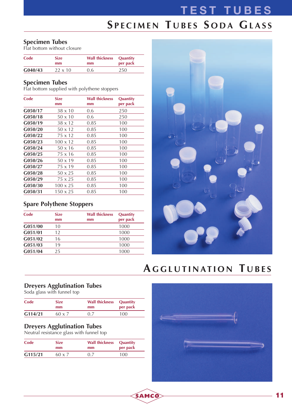# **TEST TUBES S PECIMEN T UBES S ODA GLASS**

#### **Specimen Tubes**

Flat bottom without closure

| Code    | Size           | <b>Wall thickness</b> | <b>Quantity</b> |
|---------|----------------|-----------------------|-----------------|
|         | mm             | mm                    | per pack        |
| G040/43 | $22 \times 10$ | 0.6                   | 250             |

#### **Specimen Tubes**

Flat bottom supplied with polythene stoppers

| <b>Size</b><br>mm | <b>Wall thickness</b><br>mm | Quantity<br>per pack |
|-------------------|-----------------------------|----------------------|
| $38 \times 10$    | 0.6                         | 250                  |
| $50 \times 10$    | 0.6                         | 250                  |
| 38 x 12           | 0.85                        | 100                  |
| $50 \times 12$    | 0.85                        | 100                  |
| 75 x 12           | 0.85                        | 100                  |
| $100 \times 12$   | 0.85                        | 100                  |
| $50 \times 16$    | 0.85                        | 100                  |
| 75 x 16           | 0.85                        | 100                  |
| $50 \times 19$    | 0.85                        | 100                  |
| 75 x 19           | 0.85                        | 100                  |
| $50 \times 25$    | 0.85                        | 100                  |
| 75 x 25           | 0.85                        | 100                  |
| $100 \times 25$   | 0.85                        | 100                  |
| $150 \times 25$   | 0.85                        | 100                  |
|                   |                             |                      |

### **Spare Polythene Stoppers**

| Code    | <b>Size</b><br>mm | <b>Wall thickness</b><br>mm | <b>Quantity</b><br>per pack |
|---------|-------------------|-----------------------------|-----------------------------|
| G051/00 | 10                |                             | 1000                        |
| G051/01 | 12                |                             | 1000                        |
| G051/02 | 16                |                             | 1000                        |
| G051/03 | 19                |                             | 1000                        |
| G051/04 | 25                |                             | 1000                        |



## **A GGLUTINATION T UBES**

#### **Dreyers Agglutination Tubes**

Soda glass with funnel top

| Code    | <b>Size</b> | <b>Wall thickness</b> | <b>Quantity</b> |
|---------|-------------|-----------------------|-----------------|
|         | mm          | mm                    | per pack        |
| G114/21 | 60 x 7      | 07                    | 100             |

#### **Dreyers Agglutination Tubes**

Neutral resistance glass with funnel top

| Code    | <b>Size</b><br>mm | <b>Wall thickness</b><br>mm | Quantity<br>per pack |  |
|---------|-------------------|-----------------------------|----------------------|--|
| G115/21 | $60 \times 7$     | 07                          | 100                  |  |

SAMCO

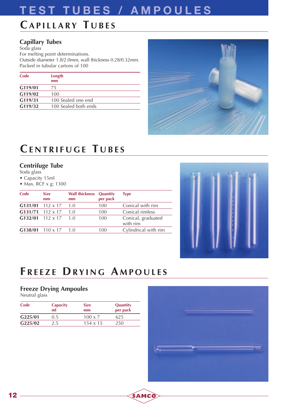## **TEST TUBES / AMPOULES**

### **CAPILLARY T UBES**

### **Capillary Tubes**

Soda glass For melting point determinations. Outside diameter 1.8/2.0mm, wall thickness 0.28/0.32mm. Packed in tubular cartons of 100

| Code    | Length<br>mm         |  |
|---------|----------------------|--|
| G119/01 | 75                   |  |
| G119/02 | 100                  |  |
| G119/31 | 100 Sealed one end   |  |
| G119/32 | 100 Sealed both ends |  |



### **CENTRIFUGE T UBES**

#### **Centrifuge Tube**

Soda glass

- Capacity 15ml
- Max. RCF x g: 1300

| Code | <b>Size</b><br>mm  | Wall thickness<br>mm | Quantity<br>per pack | Type                           |
|------|--------------------|----------------------|----------------------|--------------------------------|
|      | $G131/01$ 112 x 17 | 1.0                  | 100                  | Conical with rim               |
|      | $G131/71$ 112 x 17 | 1.0                  | 100                  | Conical rimless                |
|      | $G132/01$ 112 x 17 | 1.0                  | 100                  | Conical, graduated<br>with rim |
|      | $G138/01$ 110 x 17 | 1.0                  | 100                  | Cylindrical with rim           |



### **F REEZE DRYING A MPOULES**

SAMCO

#### **Freeze Drying Ampoules**

Neutral glass

| Code                | Capacity<br>ml | <b>Size</b><br>mm | Quantity<br>per pack |
|---------------------|----------------|-------------------|----------------------|
| G <sub>225/01</sub> | 0.5            | $100 \times 7$    | 625                  |
| G <sub>225/02</sub> | 2.5            | $154 \times 15$   | 250                  |